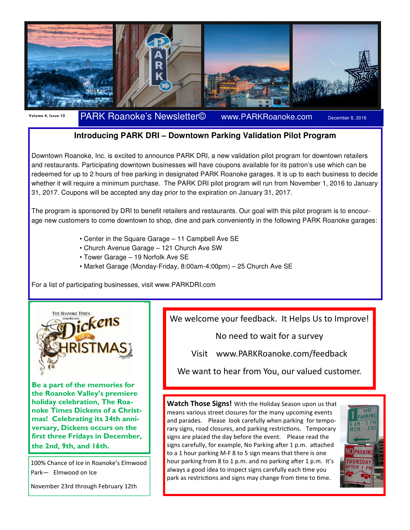

Volume 4, Issue 10 PARK Roanoke's Newsletter© www.PARKRoanoke.com December 8, 2016

## **Introducing PARK DRI – Downtown Parking Validation Pilot Program**

Downtown Roanoke, Inc. is excited to announce PARK DRI, a new validation pilot program for downtown retailers and restaurants. Participating downtown businesses will have coupons available for its patron's use which can be redeemed for up to 2 hours of free parking in designated PARK Roanoke garages. It is up to each business to decide whether it will require a minimum purchase. The PARK DRI pilot program will run from November 1, 2016 to January 31, 2017. Coupons will be accepted any day prior to the expiration on January 31, 2017.

The program is sponsored by DRI to benefit retailers and restaurants. Our goal with this pilot program is to encourage new customers to come downtown to shop, dine and park conveniently in the following PARK Roanoke garages:

- Center in the Square Garage 11 Campbell Ave SE
- Church Avenue Garage 121 Church Ave SW
- Tower Garage 19 Norfolk Ave SE
- Market Garage (Monday-Friday, 8:00am-4:00pm) 25 Church Ave SE

For a list of participating businesses, visit www.PARKDRI.com



Be a part of the memories for the Roanoke Valley's premiere holiday celebration, The Roanoke Times Dickens of a Christmas! Celebrating its 34th anniversary, Dickens occurs on the first three Fridays in December, the 2nd, 9th, and 16th.

100% Chance of Ice in Roanoke's Elmwood Park— Elmwood on Ice

November 23rd through February 12th

We welcome your feedback. It Helps Us to Improve!

No need to wait for a survey

Visit www.PARKRoanoke.com/feedback

We want to hear from You, our valued customer.

Watch Those Signs! With the Holiday Season upon us that means various street closures for the many upcoming events and parades. Please look carefully when parking for temporary signs, road closures, and parking restrictions. Temporary signs are placed the day before the event. Please read the signs carefully, for example, No Parking after 1 p.m. attached to a 1 hour parking M-F 8 to 5 sign means that there is one hour parking from 8 to 1 p.m. and no parking after 1 p.m. It's always a good idea to inspect signs carefully each time you park as restrictions and signs may change from time to time.

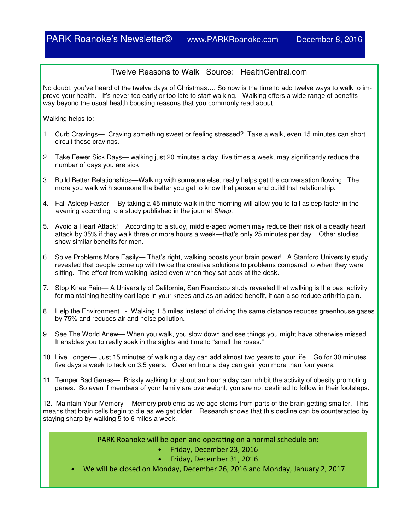## Twelve Reasons to Walk Source: HealthCentral.com

No doubt, you've heard of the twelve days of Christmas…. So now is the time to add twelve ways to walk to improve your health. It's never too early or too late to start walking. Walking offers a wide range of benefitsway beyond the usual health boosting reasons that you commonly read about.

Walking helps to:

- 1. Curb Cravings— Craving something sweet or feeling stressed? Take a walk, even 15 minutes can short circuit these cravings.
- 2. Take Fewer Sick Days— walking just 20 minutes a day, five times a week, may significantly reduce the number of days you are sick
- 3. Build Better Relationships—Walking with someone else, really helps get the conversation flowing. The more you walk with someone the better you get to know that person and build that relationship.
- 4. Fall Asleep Faster— By taking a 45 minute walk in the morning will allow you to fall asleep faster in the evening according to a study published in the journal *Sleep*.
- 5. Avoid a Heart Attack! According to a study, middle-aged women may reduce their risk of a deadly heart attack by 35% if they walk three or more hours a week—that's only 25 minutes per day. Other studies show similar benefits for men.
- 6. Solve Problems More Easily— That's right, walking boosts your brain power! A Stanford University study revealed that people come up with twice the creative solutions to problems compared to when they were sitting. The effect from walking lasted even when they sat back at the desk.
- 7. Stop Knee Pain— A University of California, San Francisco study revealed that walking is the best activity for maintaining healthy cartilage in your knees and as an added benefit, it can also reduce arthritic pain.
- 8. Help the Environment Walking 1.5 miles instead of driving the same distance reduces greenhouse gases by 75% and reduces air and noise pollution.
- 9. See The World Anew— When you walk, you slow down and see things you might have otherwise missed. It enables you to really soak in the sights and time to "smell the roses."
- 10. Live Longer— Just 15 minutes of walking a day can add almost two years to your life. Go for 30 minutes five days a week to tack on 3.5 years. Over an hour a day can gain you more than four years.
- 11. Temper Bad Genes— Briskly walking for about an hour a day can inhibit the activity of obesity promoting genes. So even if members of your family are overweight, you are not destined to follow in their footsteps.

12. Maintain Your Memory— Memory problems as we age stems from parts of the brain getting smaller. This means that brain cells begin to die as we get older. Research shows that this decline can be counteracted by staying sharp by walking 5 to 6 miles a week.

PARK Roanoke will be open and operating on a normal schedule on:

- Friday, December 23, 2016
- Friday, December 31, 2016
- We will be closed on Monday, December 26, 2016 and Monday, January 2, 2017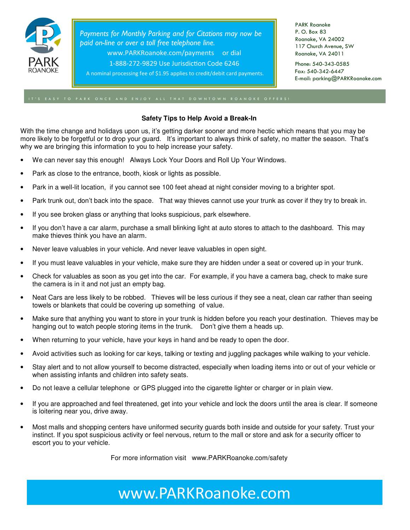

Payments for Monthly Parking and for Citations may now be paid on-line or over a toll free telephone line. www.PARKRoanoke.com/payments or dial 1-888-272-9829 Use Jurisdiction Code 6246

A nominal processing fee of \$1.95 applies to credit/debit card payments.

PARK Roanoke P. O. Box 83 Roanoke, VA 24002 117 Church Avenue, SW Roanoke, VA 24011

Phone: 540-343-0585 Fax: 540-342-6447 E-mail: parking@PARKRoanoke.com

## **Safety Tips to Help Avoid a Break-In**

With the time change and holidays upon us, it's getting darker sooner and more hectic which means that you may be more likely to be forgetful or to drop your guard. It's important to always think of safety, no matter the season. That's why we are bringing this information to you to help increase your safety.

- We can never say this enough! Always Lock Your Doors and Roll Up Your Windows.
- Park as close to the entrance, booth, kiosk or lights as possible.
- Park in a well-lit location, if you cannot see 100 feet ahead at night consider moving to a brighter spot.
- Park trunk out, don't back into the space. That way thieves cannot use your trunk as cover if they try to break in.
- If you see broken glass or anything that looks suspicious, park elsewhere.
- If you don't have a car alarm, purchase a small blinking light at auto stores to attach to the dashboard. This may make thieves think you have an alarm.
- Never leave valuables in your vehicle. And never leave valuables in open sight.
- If you must leave valuables in your vehicle, make sure they are hidden under a seat or covered up in your trunk.
- Check for valuables as soon as you get into the car. For example, if you have a camera bag, check to make sure the camera is in it and not just an empty bag.
- Neat Cars are less likely to be robbed. Thieves will be less curious if they see a neat, clean car rather than seeing towels or blankets that could be covering up something of value.
- Make sure that anything you want to store in your trunk is hidden before you reach your destination. Thieves may be hanging out to watch people storing items in the trunk. Don't give them a heads up.
- When returning to your vehicle, have your keys in hand and be ready to open the door.
- Avoid activities such as looking for car keys, talking or texting and juggling packages while walking to your vehicle.
- Stay alert and to not allow yourself to become distracted, especially when loading items into or out of your vehicle or when assisting infants and children into safety seats.
- Do not leave a cellular telephone or GPS plugged into the cigarette lighter or charger or in plain view.
- If you are approached and feel threatened, get into your vehicle and lock the doors until the area is clear. If someone is loitering near you, drive away.
- Most malls and shopping centers have uniformed security guards both inside and outside for your safety. Trust your instinct. If you spot suspicious activity or feel nervous, return to the mall or store and ask for a security officer to escort you to your vehicle.

For more information visit www.PARKRoanoke.com/safety

www.PARKRoanoke.com